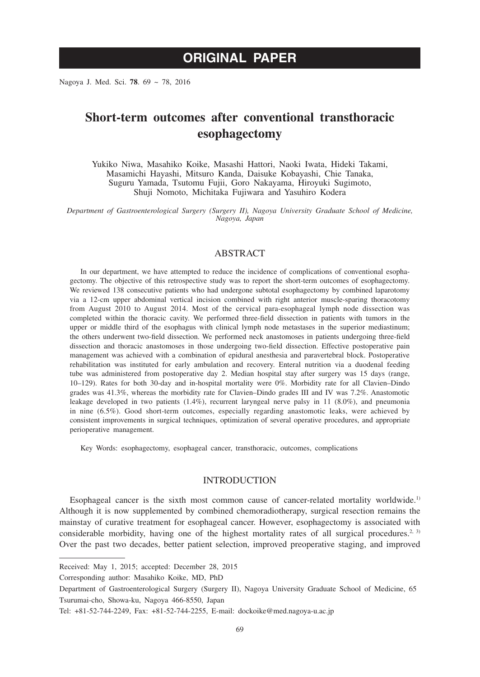# **ORIGINAL PAPER**

Nagoya J. Med. Sci. **78**. 69 ~ 78, 2016

# **Short-term outcomes after conventional transthoracic esophagectomy**

Yukiko Niwa, Masahiko Koike, Masashi Hattori, Naoki Iwata, Hideki Takami, Masamichi Hayashi, Mitsuro Kanda, Daisuke Kobayashi, Chie Tanaka, Suguru Yamada, Tsutomu Fujii, Goro Nakayama, Hiroyuki Sugimoto, Shuji Nomoto, Michitaka Fujiwara and Yasuhiro Kodera

*Department of Gastroenterological Surgery (Surgery II), Nagoya University Graduate School of Medicine, Nagoya, Japan*

## ABSTRACT

In our department, we have attempted to reduce the incidence of complications of conventional esophagectomy. The objective of this retrospective study was to report the short-term outcomes of esophagectomy. We reviewed 138 consecutive patients who had undergone subtotal esophagectomy by combined laparotomy via a 12-cm upper abdominal vertical incision combined with right anterior muscle-sparing thoracotomy from August 2010 to August 2014. Most of the cervical para-esophageal lymph node dissection was completed within the thoracic cavity. We performed three-field dissection in patients with tumors in the upper or middle third of the esophagus with clinical lymph node metastases in the superior mediastinum; the others underwent two-field dissection. We performed neck anastomoses in patients undergoing three-field dissection and thoracic anastomoses in those undergoing two-field dissection. Effective postoperative pain management was achieved with a combination of epidural anesthesia and paravertebral block. Postoperative rehabilitation was instituted for early ambulation and recovery. Enteral nutrition via a duodenal feeding tube was administered from postoperative day 2. Median hospital stay after surgery was 15 days (range, 10–129). Rates for both 30-day and in-hospital mortality were 0%. Morbidity rate for all Clavien–Dindo grades was 41.3%, whereas the morbidity rate for Clavien–Dindo grades III and IV was 7.2%. Anastomotic leakage developed in two patients (1.4%), recurrent laryngeal nerve palsy in 11 (8.0%), and pneumonia in nine (6.5%). Good short-term outcomes, especially regarding anastomotic leaks, were achieved by consistent improvements in surgical techniques, optimization of several operative procedures, and appropriate perioperative management.

Key Words: esophagectomy, esophageal cancer, transthoracic, outcomes, complications

## INTRODUCTION

Esophageal cancer is the sixth most common cause of cancer-related mortality worldwide.<sup>1)</sup> Although it is now supplemented by combined chemoradiotherapy, surgical resection remains the mainstay of curative treatment for esophageal cancer. However, esophagectomy is associated with considerable morbidity, having one of the highest mortality rates of all surgical procedures.<sup>2, 3)</sup> Over the past two decades, better patient selection, improved preoperative staging, and improved

Corresponding author: Masahiko Koike, MD, PhD

Received: May 1, 2015; accepted: December 28, 2015

Department of Gastroenterological Surgery (Surgery II), Nagoya University Graduate School of Medicine, 65 Tsurumai-cho, Showa-ku, Nagoya 466-8550, Japan

Tel: +81-52-744-2249, Fax: +81-52-744-2255, E-mail: dockoike@med.nagoya-u.ac.jp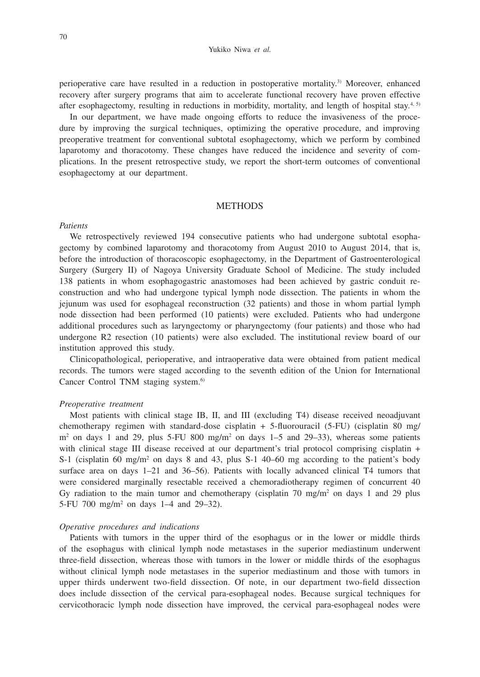perioperative care have resulted in a reduction in postoperative mortality.3) Moreover, enhanced recovery after surgery programs that aim to accelerate functional recovery have proven effective after esophagectomy, resulting in reductions in morbidity, mortality, and length of hospital stay. $4.5$ 

In our department, we have made ongoing efforts to reduce the invasiveness of the procedure by improving the surgical techniques, optimizing the operative procedure, and improving preoperative treatment for conventional subtotal esophagectomy, which we perform by combined laparotomy and thoracotomy. These changes have reduced the incidence and severity of complications. In the present retrospective study, we report the short-term outcomes of conventional esophagectomy at our department.

## **METHODS**

#### *Patients*

We retrospectively reviewed 194 consecutive patients who had undergone subtotal esophagectomy by combined laparotomy and thoracotomy from August 2010 to August 2014, that is, before the introduction of thoracoscopic esophagectomy, in the Department of Gastroenterological Surgery (Surgery II) of Nagoya University Graduate School of Medicine. The study included 138 patients in whom esophagogastric anastomoses had been achieved by gastric conduit reconstruction and who had undergone typical lymph node dissection. The patients in whom the jejunum was used for esophageal reconstruction (32 patients) and those in whom partial lymph node dissection had been performed (10 patients) were excluded. Patients who had undergone additional procedures such as laryngectomy or pharyngectomy (four patients) and those who had undergone R2 resection (10 patients) were also excluded. The institutional review board of our institution approved this study.

Clinicopathological, perioperative, and intraoperative data were obtained from patient medical records. The tumors were staged according to the seventh edition of the Union for International Cancer Control TNM staging system.<sup>6)</sup>

#### *Preoperative treatment*

Most patients with clinical stage IB, II, and III (excluding T4) disease received neoadjuvant chemotherapy regimen with standard-dose cisplatin + 5-fluorouracil (5-FU) (cisplatin 80 mg/  $m<sup>2</sup>$  on days 1 and 29, plus 5-FU 800 mg/m<sup>2</sup> on days 1–5 and 29–33), whereas some patients with clinical stage III disease received at our department's trial protocol comprising cisplatin + S-1 (cisplatin 60 mg/m<sup>2</sup> on days 8 and 43, plus S-1 40–60 mg according to the patient's body surface area on days 1–21 and 36–56). Patients with locally advanced clinical T4 tumors that were considered marginally resectable received a chemoradiotherapy regimen of concurrent 40 Gy radiation to the main tumor and chemotherapy (cisplatin  $70 \text{ mg/m}^2$  on days 1 and 29 plus 5-FU 700 mg/m<sup>2</sup> on days 1–4 and 29–32).

### *Operative procedures and indications*

Patients with tumors in the upper third of the esophagus or in the lower or middle thirds of the esophagus with clinical lymph node metastases in the superior mediastinum underwent three-field dissection, whereas those with tumors in the lower or middle thirds of the esophagus without clinical lymph node metastases in the superior mediastinum and those with tumors in upper thirds underwent two-field dissection. Of note, in our department two-field dissection does include dissection of the cervical para-esophageal nodes. Because surgical techniques for cervicothoracic lymph node dissection have improved, the cervical para-esophageal nodes were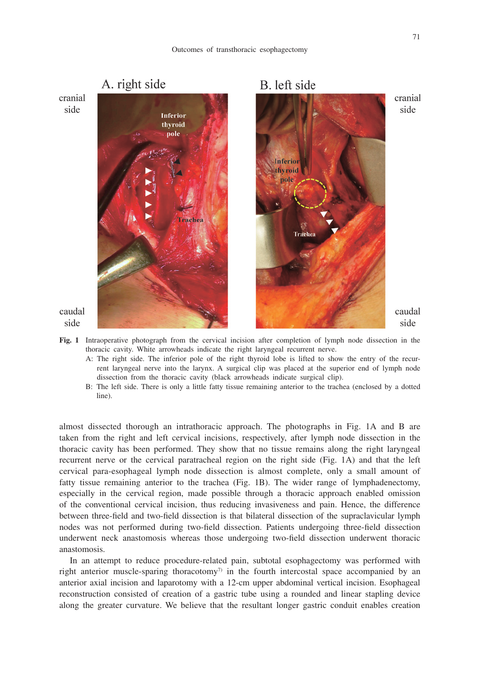

- **Fig. 1** Intraoperative photograph from the cervical incision after completion of lymph node dissection in the thoracic cavity. White arrowheads indicate the right laryngeal recurrent nerve.
	- A: The right side. The inferior pole of the right thyroid lobe is lifted to show the entry of the recurrent laryngeal nerve into the larynx. A surgical clip was placed at the superior end of lymph node dissection from the thoracic cavity (black arrowheads indicate surgical clip).
	- B: The left side. There is only a little fatty tissue remaining anterior to the trachea (enclosed by a dotted line).

almost dissected thorough an intrathoracic approach. The photographs in Fig. 1A and B are taken from the right and left cervical incisions, respectively, after lymph node dissection in the thoracic cavity has been performed. They show that no tissue remains along the right laryngeal recurrent nerve or the cervical paratracheal region on the right side (Fig. 1A) and that the left cervical para-esophageal lymph node dissection is almost complete, only a small amount of fatty tissue remaining anterior to the trachea (Fig. 1B). The wider range of lymphadenectomy, especially in the cervical region, made possible through a thoracic approach enabled omission of the conventional cervical incision, thus reducing invasiveness and pain. Hence, the difference between three-field and two-field dissection is that bilateral dissection of the supraclavicular lymph nodes was not performed during two-field dissection. Patients undergoing three-field dissection underwent neck anastomosis whereas those undergoing two-field dissection underwent thoracic anastomosis.

In an attempt to reduce procedure-related pain, subtotal esophagectomy was performed with right anterior muscle-sparing thoracotomy<sup>7)</sup> in the fourth intercostal space accompanied by an anterior axial incision and laparotomy with a 12-cm upper abdominal vertical incision. Esophageal reconstruction consisted of creation of a gastric tube using a rounded and linear stapling device along the greater curvature. We believe that the resultant longer gastric conduit enables creation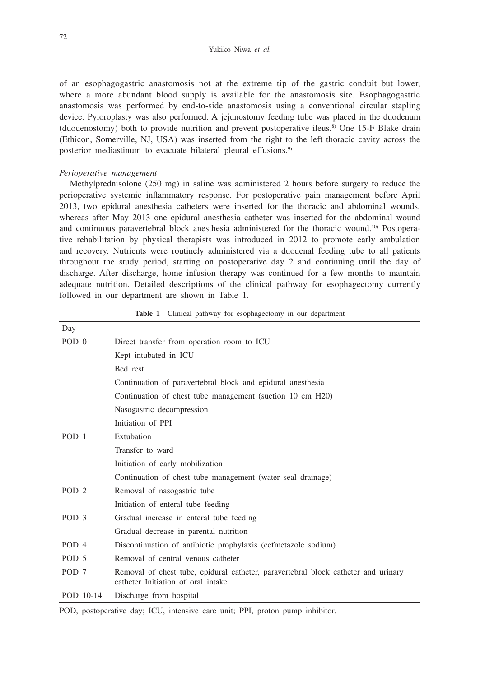of an esophagogastric anastomosis not at the extreme tip of the gastric conduit but lower, where a more abundant blood supply is available for the anastomosis site. Esophagogastric anastomosis was performed by end-to-side anastomosis using a conventional circular stapling device. Pyloroplasty was also performed. A jejunostomy feeding tube was placed in the duodenum (duodenostomy) both to provide nutrition and prevent postoperative ileus.<sup>8)</sup> One 15-F Blake drain (Ethicon, Somerville, NJ, USA) was inserted from the right to the left thoracic cavity across the posterior mediastinum to evacuate bilateral pleural effusions.<sup>9)</sup>

#### *Perioperative management*

Methylprednisolone (250 mg) in saline was administered 2 hours before surgery to reduce the perioperative systemic inflammatory response. For postoperative pain management before April 2013, two epidural anesthesia catheters were inserted for the thoracic and abdominal wounds, whereas after May 2013 one epidural anesthesia catheter was inserted for the abdominal wound and continuous paravertebral block anesthesia administered for the thoracic wound.<sup>10)</sup> Postoperative rehabilitation by physical therapists was introduced in 2012 to promote early ambulation and recovery. Nutrients were routinely administered via a duodenal feeding tube to all patients throughout the study period, starting on postoperative day 2 and continuing until the day of discharge. After discharge, home infusion therapy was continued for a few months to maintain adequate nutrition. Detailed descriptions of the clinical pathway for esophagectomy currently followed in our department are shown in Table 1.

| Table 1 Clinical pathway for esophagectomy in our department |  |  |
|--------------------------------------------------------------|--|--|
|--------------------------------------------------------------|--|--|

| Day              |                                                                                                                          |  |  |
|------------------|--------------------------------------------------------------------------------------------------------------------------|--|--|
| POD 0            | Direct transfer from operation room to ICU                                                                               |  |  |
|                  | Kept intubated in ICU                                                                                                    |  |  |
|                  | Bed rest                                                                                                                 |  |  |
|                  | Continuation of paravertebral block and epidural anesthesia                                                              |  |  |
|                  | Continuation of chest tube management (suction 10 cm H20)                                                                |  |  |
|                  | Nasogastric decompression                                                                                                |  |  |
|                  | Initiation of PPI                                                                                                        |  |  |
| POD <sub>1</sub> | Extubation                                                                                                               |  |  |
|                  | Transfer to ward                                                                                                         |  |  |
|                  | Initiation of early mobilization                                                                                         |  |  |
|                  | Continuation of chest tube management (water seal drainage)                                                              |  |  |
| POD <sub>2</sub> | Removal of nasogastric tube                                                                                              |  |  |
|                  | Initiation of enteral tube feeding                                                                                       |  |  |
| POD <sub>3</sub> | Gradual increase in enteral tube feeding                                                                                 |  |  |
|                  | Gradual decrease in parental nutrition                                                                                   |  |  |
| POD <sub>4</sub> | Discontinuation of antibiotic prophylaxis (cefmetazole sodium)                                                           |  |  |
| POD <sub>5</sub> | Removal of central venous catheter                                                                                       |  |  |
| POD <sub>7</sub> | Removal of chest tube, epidural catheter, paravertebral block catheter and urinary<br>catheter Initiation of oral intake |  |  |
| POD 10-14        | Discharge from hospital                                                                                                  |  |  |

POD, postoperative day; ICU, intensive care unit; PPI, proton pump inhibitor.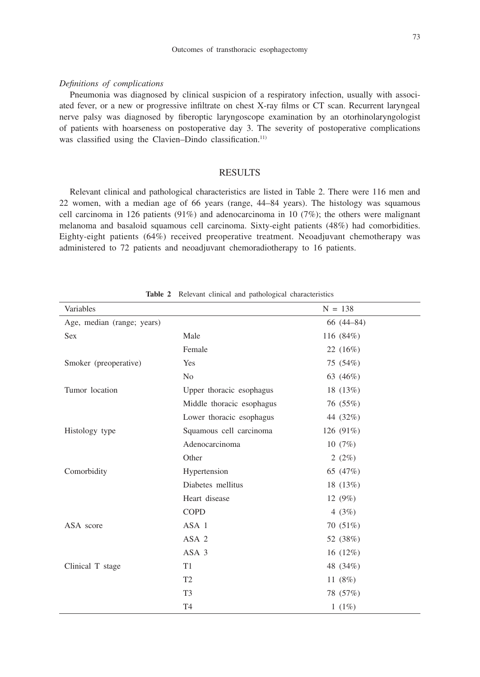## 73

#### *Definitions of complications*

Pneumonia was diagnosed by clinical suspicion of a respiratory infection, usually with associated fever, or a new or progressive infiltrate on chest X-ray films or CT scan. Recurrent laryngeal nerve palsy was diagnosed by fiberoptic laryngoscope examination by an otorhinolaryngologist of patients with hoarseness on postoperative day 3. The severity of postoperative complications was classified using the Clavien–Dindo classification.<sup>11)</sup>

## **RESULTS**

Relevant clinical and pathological characteristics are listed in Table 2. There were 116 men and 22 women, with a median age of 66 years (range, 44–84 years). The histology was squamous cell carcinoma in 126 patients  $(91\%)$  and adenocarcinoma in 10 (7%); the others were malignant melanoma and basaloid squamous cell carcinoma. Sixty-eight patients (48%) had comorbidities. Eighty-eight patients (64%) received preoperative treatment. Neoadjuvant chemotherapy was administered to 72 patients and neoadjuvant chemoradiotherapy to 16 patients.

| Variables                  |                           | $N = 138$     |
|----------------------------|---------------------------|---------------|
| Age, median (range; years) |                           | $66(44 - 84)$ |
| <b>Sex</b>                 | Male                      | 116 (84%)     |
|                            | Female                    | 22(16%)       |
| Smoker (preoperative)      | Yes                       | 75 (54%)      |
|                            | N <sub>0</sub>            | 63 (46%)      |
| Tumor location             | Upper thoracic esophagus  | 18 (13%)      |
|                            | Middle thoracic esophagus | 76 (55%)      |
|                            | Lower thoracic esophagus  | 44 (32%)      |
| Histology type             | Squamous cell carcinoma   | 126 (91%)     |
|                            | Adenocarcinoma            | 10(7%)        |
|                            | Other                     | 2(2%)         |
| Comorbidity                | Hypertension              | 65 (47%)      |
|                            | Diabetes mellitus         | 18 (13%)      |
|                            | Heart disease             | 12 $(9%)$     |
|                            | <b>COPD</b>               | 4 $(3%)$      |
| ASA score                  | ASA 1                     | 70 $(51\%)$   |
|                            | ASA 2                     | 52 (38%)      |
|                            | ASA 3                     | 16 $(12%)$    |
| Clinical T stage           | T1                        | 48 (34%)      |
|                            | T <sub>2</sub>            | 11 $(8%)$     |
|                            | T <sub>3</sub>            | 78 (57%)      |
|                            | T <sub>4</sub>            | 1 $(1%)$      |

**Table 2** Relevant clinical and pathological characteristics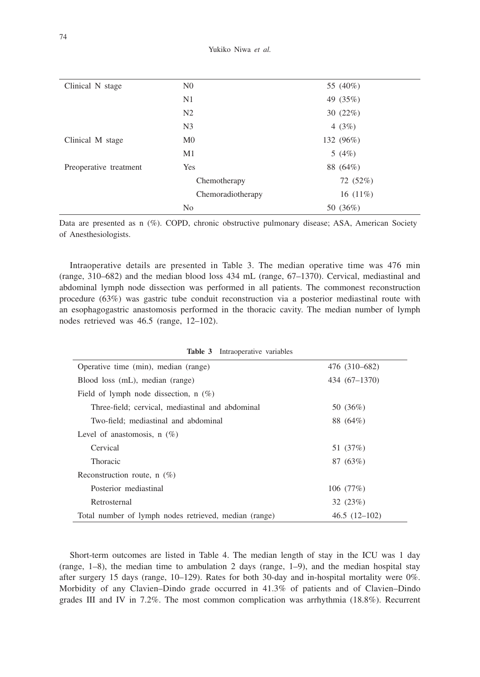| Clinical N stage       | N <sub>0</sub>    | 55 (40%)    |
|------------------------|-------------------|-------------|
|                        | N1                | 49 (35%)    |
|                        | N <sub>2</sub>    | 30 $(22%)$  |
|                        | N <sub>3</sub>    | 4 $(3%)$    |
| Clinical M stage       | M <sub>0</sub>    | 132 (96%)   |
|                        | M1                | 5 $(4%)$    |
| Preoperative treatment | Yes               | 88 (64%)    |
|                        | Chemotherapy      | 72 (52%)    |
|                        | Chemoradiotherapy | 16 $(11\%)$ |
|                        | No                | 50 (36%)    |

Data are presented as n (%). COPD, chronic obstructive pulmonary disease; ASA, American Society of Anesthesiologists.

Intraoperative details are presented in Table 3. The median operative time was 476 min (range, 310–682) and the median blood loss 434 mL (range, 67–1370). Cervical, mediastinal and abdominal lymph node dissection was performed in all patients. The commonest reconstruction procedure (63%) was gastric tube conduit reconstruction via a posterior mediastinal route with an esophagogastric anastomosis performed in the thoracic cavity. The median number of lymph nodes retrieved was 46.5 (range, 12–102).

| <b>Table 3</b> Intraoperative variables               |                |  |  |
|-------------------------------------------------------|----------------|--|--|
| Operative time (min), median (range)                  | 476 (310–682)  |  |  |
| Blood loss (mL), median (range)                       | 434 (67-1370)  |  |  |
| Field of lymph node dissection, $n(\%)$               |                |  |  |
| Three-field; cervical, mediastinal and abdominal      | 50 (36%)       |  |  |
| Two-field; mediastinal and abdominal                  | 88 (64%)       |  |  |
| Level of anastomosis, $n(\%)$                         |                |  |  |
| Cervical                                              | 51 (37%)       |  |  |
| <b>Thoracic</b>                                       | 87 (63%)       |  |  |
| Reconstruction route, $n(\%)$                         |                |  |  |
| Posterior mediastinal                                 | 106(77%)       |  |  |
| Retrosternal                                          | 32 (23%)       |  |  |
| Total number of lymph nodes retrieved, median (range) | $46.5(12-102)$ |  |  |

| Short-term outcomes are listed in Table 4. The median length of stay in the ICU was 1 day              |
|--------------------------------------------------------------------------------------------------------|
| (range, 1–8), the median time to ambulation 2 days (range, 1–9), and the median hospital stay          |
| after surgery 15 days (range, $10-129$ ). Rates for both 30-day and in-hospital mortality were $0\%$ . |
| Morbidity of any Clavien–Dindo grade occurred in 41.3% of patients and of Clavien–Dindo                |
| grades III and IV in 7.2%. The most common complication was arrhythmia $(18.8\%)$ . Recurrent          |

 $\overline{a}$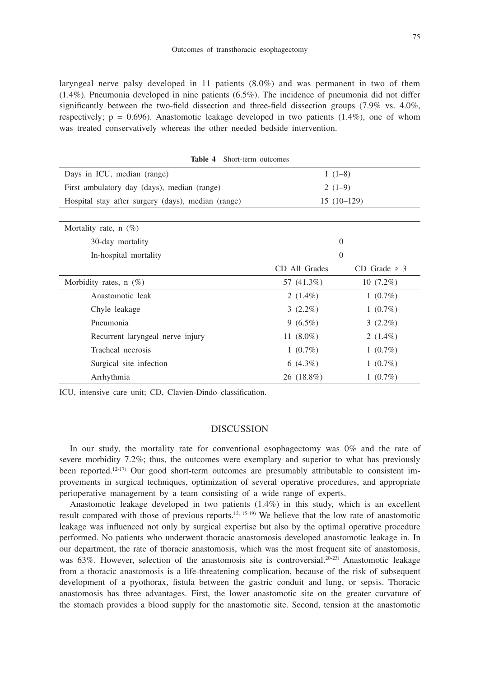laryngeal nerve palsy developed in 11 patients (8.0%) and was permanent in two of them (1.4%). Pneumonia developed in nine patients (6.5%). The incidence of pneumonia did not differ significantly between the two-field dissection and three-field dissection groups (7.9% vs. 4.0%, respectively;  $p = 0.696$ ). Anastomotic leakage developed in two patients  $(1.4\%)$ , one of whom was treated conservatively whereas the other needed bedside intervention.

| Days in ICU, median (range)                        | $1(1-8)$       |                   |
|----------------------------------------------------|----------------|-------------------|
| First ambulatory day (days), median (range)        | $2(1-9)$       |                   |
| Hospital stay after surgery (days), median (range) | $15(10-129)$   |                   |
|                                                    |                |                   |
| Mortality rate, $n$ (%)                            |                |                   |
| 30-day mortality                                   | $\overline{0}$ |                   |
| In-hospital mortality                              | $\overline{0}$ |                   |
|                                                    | CD All Grades  | CD Grade $\geq$ 3 |
| Morbidity rates, $n$ (%)                           | 57 (41.3%)     | $10(7.2\%)$       |
| Anastomotic leak                                   | 2 $(1.4\%)$    | $1(0.7\%)$        |
| Chyle leakage                                      | $3(2.2\%)$     | $1(0.7\%)$        |
| Pneumonia                                          | $9(6.5\%)$     | $3(2.2\%)$        |
| Recurrent laryngeal nerve injury                   | 11 $(8.0\%)$   | 2 $(1.4\%)$       |
| Tracheal necrosis                                  | $1(0.7\%)$     | $1(0.7\%)$        |
| Surgical site infection                            | 6 $(4.3\%)$    | $1(0.7\%)$        |
| Arrhythmia                                         | 26 (18.8%)     | $1(0.7\%)$        |

**Table 4** Short-term outcomes

ICU, intensive care unit; CD, Clavien-Dindo classification.

# DISCUSSION

In our study, the mortality rate for conventional esophagectomy was 0% and the rate of severe morbidity 7.2%; thus, the outcomes were exemplary and superior to what has previously been reported.<sup>12-17)</sup> Our good short-term outcomes are presumably attributable to consistent improvements in surgical techniques, optimization of several operative procedures, and appropriate perioperative management by a team consisting of a wide range of experts.

Anastomotic leakage developed in two patients (1.4%) in this study, which is an excellent result compared with those of previous reports.12, 15-19) We believe that the low rate of anastomotic leakage was influenced not only by surgical expertise but also by the optimal operative procedure performed. No patients who underwent thoracic anastomosis developed anastomotic leakage in. In our department, the rate of thoracic anastomosis, which was the most frequent site of anastomosis, was 63%. However, selection of the anastomosis site is controversial.<sup>20-23</sup> Anastomotic leakage from a thoracic anastomosis is a life-threatening complication, because of the risk of subsequent development of a pyothorax, fistula between the gastric conduit and lung, or sepsis. Thoracic anastomosis has three advantages. First, the lower anastomotic site on the greater curvature of the stomach provides a blood supply for the anastomotic site. Second, tension at the anastomotic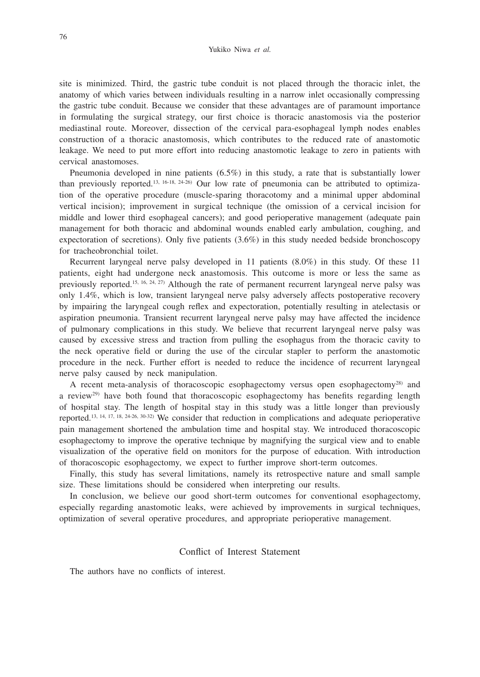site is minimized. Third, the gastric tube conduit is not placed through the thoracic inlet, the anatomy of which varies between individuals resulting in a narrow inlet occasionally compressing the gastric tube conduit. Because we consider that these advantages are of paramount importance in formulating the surgical strategy, our first choice is thoracic anastomosis via the posterior mediastinal route. Moreover, dissection of the cervical para-esophageal lymph nodes enables construction of a thoracic anastomosis, which contributes to the reduced rate of anastomotic leakage. We need to put more effort into reducing anastomotic leakage to zero in patients with cervical anastomoses.

Pneumonia developed in nine patients (6.5%) in this study, a rate that is substantially lower than previously reported.<sup>13, 16-18, 24-26</sup> Our low rate of pneumonia can be attributed to optimization of the operative procedure (muscle-sparing thoracotomy and a minimal upper abdominal vertical incision); improvement in surgical technique (the omission of a cervical incision for middle and lower third esophageal cancers); and good perioperative management (adequate pain management for both thoracic and abdominal wounds enabled early ambulation, coughing, and expectoration of secretions). Only five patients (3.6%) in this study needed bedside bronchoscopy for tracheobronchial toilet.

Recurrent laryngeal nerve palsy developed in 11 patients (8.0%) in this study. Of these 11 patients, eight had undergone neck anastomosis. This outcome is more or less the same as previously reported.15, 16, 24, 27) Although the rate of permanent recurrent laryngeal nerve palsy was only 1.4%, which is low, transient laryngeal nerve palsy adversely affects postoperative recovery by impairing the laryngeal cough reflex and expectoration, potentially resulting in atelectasis or aspiration pneumonia. Transient recurrent laryngeal nerve palsy may have affected the incidence of pulmonary complications in this study. We believe that recurrent laryngeal nerve palsy was caused by excessive stress and traction from pulling the esophagus from the thoracic cavity to the neck operative field or during the use of the circular stapler to perform the anastomotic procedure in the neck. Further effort is needed to reduce the incidence of recurrent laryngeal nerve palsy caused by neck manipulation.

A recent meta-analysis of thoracoscopic esophagectomy versus open esophagectomy28) and a review<sup>29)</sup> have both found that thoracoscopic esophagectomy has benefits regarding length of hospital stay. The length of hospital stay in this study was a little longer than previously reported.13, 14, 17, 18, 24-26, 30-32) We consider that reduction in complications and adequate perioperative pain management shortened the ambulation time and hospital stay. We introduced thoracoscopic esophagectomy to improve the operative technique by magnifying the surgical view and to enable visualization of the operative field on monitors for the purpose of education. With introduction of thoracoscopic esophagectomy, we expect to further improve short-term outcomes.

Finally, this study has several limitations, namely its retrospective nature and small sample size. These limitations should be considered when interpreting our results.

In conclusion, we believe our good short-term outcomes for conventional esophagectomy, especially regarding anastomotic leaks, were achieved by improvements in surgical techniques, optimization of several operative procedures, and appropriate perioperative management.

# Conflict of Interest Statement

The authors have no conflicts of interest.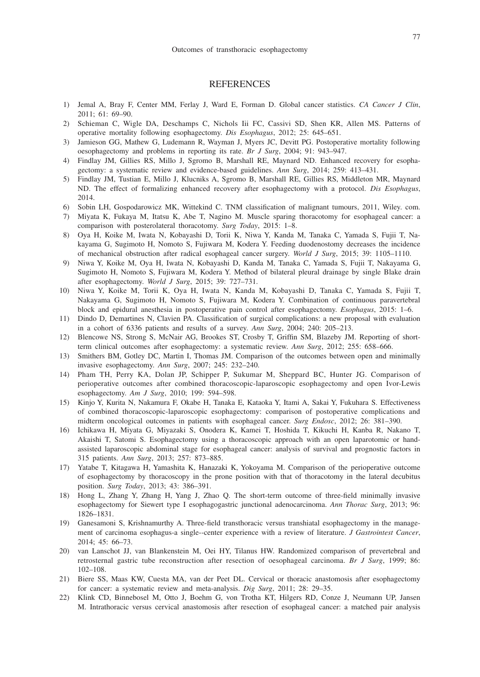## **REFERENCES**

- 1) Jemal A, Bray F, Center MM, Ferlay J, Ward E, Forman D. Global cancer statistics. *CA Cancer J Clin*, 2011; 61: 69–90.
- 2) Schieman C, Wigle DA, Deschamps C, Nichols Iii FC, Cassivi SD, Shen KR, Allen MS. Patterns of operative mortality following esophagectomy. *Dis Esophagus*, 2012; 25: 645–651.
- 3) Jamieson GG, Mathew G, Ludemann R, Wayman J, Myers JC, Devitt PG. Postoperative mortality following oesophagectomy and problems in reporting its rate. *Br J Surg*, 2004; 91: 943–947.
- 4) Findlay JM, Gillies RS, Millo J, Sgromo B, Marshall RE, Maynard ND. Enhanced recovery for esophagectomy: a systematic review and evidence-based guidelines. *Ann Surg*, 2014; 259: 413–431.
- 5) Findlay JM, Tustian E, Millo J, Klucniks A, Sgromo B, Marshall RE, Gillies RS, Middleton MR, Maynard ND. The effect of formalizing enhanced recovery after esophagectomy with a protocol. *Dis Esophagus*, 2014.
- 6) Sobin LH, Gospodarowicz MK, Wittekind C. TNM classification of malignant tumours, 2011, Wiley. com.
- 7) Miyata K, Fukaya M, Itatsu K, Abe T, Nagino M. Muscle sparing thoracotomy for esophageal cancer: a comparison with posterolateral thoracotomy. *Surg Today*, 2015: 1–8.
- 8) Oya H, Koike M, Iwata N, Kobayashi D, Torii K, Niwa Y, Kanda M, Tanaka C, Yamada S, Fujii T, Nakayama G, Sugimoto H, Nomoto S, Fujiwara M, Kodera Y. Feeding duodenostomy decreases the incidence of mechanical obstruction after radical esophageal cancer surgery. *World J Surg*, 2015; 39: 1105–1110.
- 9) Niwa Y, Koike M, Oya H, Iwata N, Kobayashi D, Kanda M, Tanaka C, Yamada S, Fujii T, Nakayama G, Sugimoto H, Nomoto S, Fujiwara M, Kodera Y. Method of bilateral pleural drainage by single Blake drain after esophagectomy. *World J Surg*, 2015; 39: 727–731.
- 10) Niwa Y, Koike M, Torii K, Oya H, Iwata N, Kanda M, Kobayashi D, Tanaka C, Yamada S, Fujii T, Nakayama G, Sugimoto H, Nomoto S, Fujiwara M, Kodera Y. Combination of continuous paravertebral block and epidural anesthesia in postoperative pain control after esophagectomy. *Esophagus*, 2015: 1–6.
- 11) Dindo D, Demartines N, Clavien PA. Classification of surgical complications: a new proposal with evaluation in a cohort of 6336 patients and results of a survey. *Ann Surg*, 2004; 240: 205–213.
- 12) Blencowe NS, Strong S, McNair AG, Brookes ST, Crosby T, Griffin SM, Blazeby JM. Reporting of shortterm clinical outcomes after esophagectomy: a systematic review. *Ann Surg*, 2012; 255: 658–666.
- 13) Smithers BM, Gotley DC, Martin I, Thomas JM. Comparison of the outcomes between open and minimally invasive esophagectomy. *Ann Surg*, 2007; 245: 232–240.
- 14) Pham TH, Perry KA, Dolan JP, Schipper P, Sukumar M, Sheppard BC, Hunter JG. Comparison of perioperative outcomes after combined thoracoscopic-laparoscopic esophagectomy and open Ivor-Lewis esophagectomy. *Am J Surg*, 2010; 199: 594–598.
- 15) Kinjo Y, Kurita N, Nakamura F, Okabe H, Tanaka E, Kataoka Y, Itami A, Sakai Y, Fukuhara S. Effectiveness of combined thoracoscopic-laparoscopic esophagectomy: comparison of postoperative complications and midterm oncological outcomes in patients with esophageal cancer. *Surg Endosc*, 2012; 26: 381–390.
- 16) Ichikawa H, Miyata G, Miyazaki S, Onodera K, Kamei T, Hoshida T, Kikuchi H, Kanba R, Nakano T, Akaishi T, Satomi S. Esophagectomy using a thoracoscopic approach with an open laparotomic or handassisted laparoscopic abdominal stage for esophageal cancer: analysis of survival and prognostic factors in 315 patients. *Ann Surg*, 2013; 257: 873–885.
- 17) Yatabe T, Kitagawa H, Yamashita K, Hanazaki K, Yokoyama M. Comparison of the perioperative outcome of esophagectomy by thoracoscopy in the prone position with that of thoracotomy in the lateral decubitus position. *Surg Today*, 2013; 43: 386–391.
- 18) Hong L, Zhang Y, Zhang H, Yang J, Zhao Q. The short-term outcome of three-field minimally invasive esophagectomy for Siewert type I esophagogastric junctional adenocarcinoma. *Ann Thorac Surg*, 2013; 96: 1826–1831.
- 19) Ganesamoni S, Krishnamurthy A. Three-field transthoracic versus transhiatal esophagectomy in the management of carcinoma esophagus-a single--center experience with a review of literature. *J Gastrointest Cancer*, 2014; 45: 66–73.
- 20) van Lanschot JJ, van Blankenstein M, Oei HY, Tilanus HW. Randomized comparison of prevertebral and retrosternal gastric tube reconstruction after resection of oesophageal carcinoma. *Br J Surg*, 1999; 86: 102–108.
- 21) Biere SS, Maas KW, Cuesta MA, van der Peet DL. Cervical or thoracic anastomosis after esophagectomy for cancer: a systematic review and meta-analysis. *Dig Surg*, 2011; 28: 29–35.
- 22) Klink CD, Binnebosel M, Otto J, Boehm G, von Trotha KT, Hilgers RD, Conze J, Neumann UP, Jansen M. Intrathoracic versus cervical anastomosis after resection of esophageal cancer: a matched pair analysis